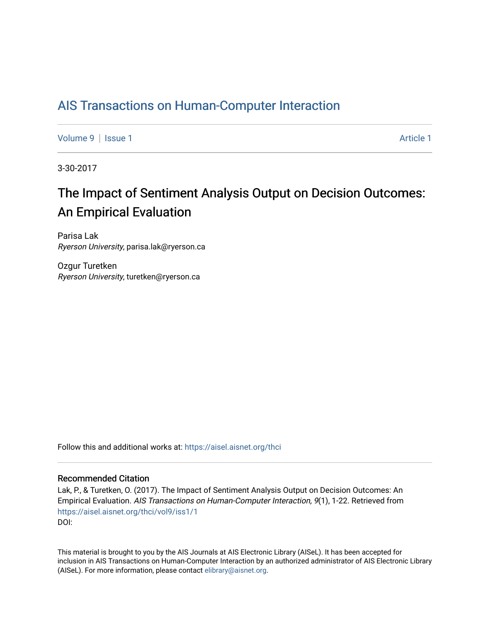## [AIS Transactions on Human-Computer Interaction](https://aisel.aisnet.org/thci)

[Volume 9](https://aisel.aisnet.org/thci/vol9) | [Issue 1](https://aisel.aisnet.org/thci/vol9/iss1) Article 1

3-30-2017

# The Impact of Sentiment Analysis Output on Decision Outcomes: An Empirical Evaluation

Parisa Lak Ryerson University, parisa.lak@ryerson.ca

Ozgur Turetken Ryerson University, turetken@ryerson.ca

Follow this and additional works at: [https://aisel.aisnet.org/thci](https://aisel.aisnet.org/thci?utm_source=aisel.aisnet.org%2Fthci%2Fvol9%2Fiss1%2F1&utm_medium=PDF&utm_campaign=PDFCoverPages) 

#### Recommended Citation

Lak, P., & Turetken, O. (2017). The Impact of Sentiment Analysis Output on Decision Outcomes: An Empirical Evaluation. AIS Transactions on Human-Computer Interaction, 9(1), 1-22. Retrieved from [https://aisel.aisnet.org/thci/vol9/iss1/1](https://aisel.aisnet.org/thci/vol9/iss1/1?utm_source=aisel.aisnet.org%2Fthci%2Fvol9%2Fiss1%2F1&utm_medium=PDF&utm_campaign=PDFCoverPages)  DOI:

This material is brought to you by the AIS Journals at AIS Electronic Library (AISeL). It has been accepted for inclusion in AIS Transactions on Human-Computer Interaction by an authorized administrator of AIS Electronic Library (AISeL). For more information, please contact [elibrary@aisnet.org](mailto:elibrary@aisnet.org%3E).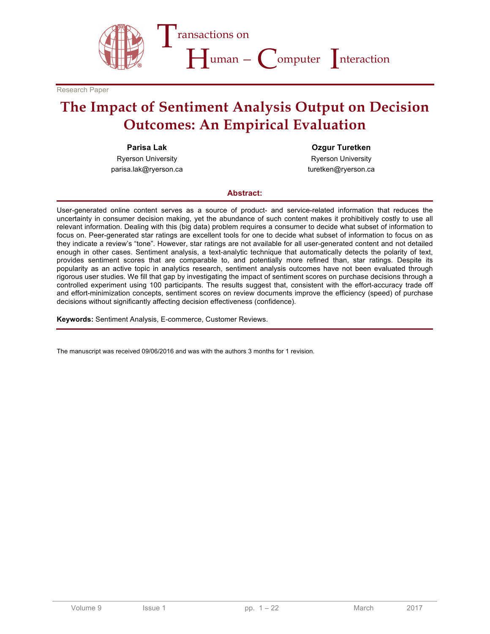

Research Paper

# **The Impact of Sentiment Analysis Output on Decision Outcomes: An Empirical Evaluation**

**Parisa Lak**

Ryerson University parisa.lak@ryerson.ca

**Ozgur Turetken** Ryerson University

turetken@ryerson.ca

#### **Abstract:**

User-generated online content serves as a source of product- and service-related information that reduces the uncertainty in consumer decision making, yet the abundance of such content makes it prohibitively costly to use all relevant information. Dealing with this (big data) problem requires a consumer to decide what subset of information to focus on. Peer-generated star ratings are excellent tools for one to decide what subset of information to focus on as they indicate a review's "tone". However, star ratings are not available for all user-generated content and not detailed enough in other cases. Sentiment analysis, a text-analytic technique that automatically detects the polarity of text, provides sentiment scores that are comparable to, and potentially more refined than, star ratings. Despite its popularity as an active topic in analytics research, sentiment analysis outcomes have not been evaluated through rigorous user studies. We fill that gap by investigating the impact of sentiment scores on purchase decisions through a controlled experiment using 100 participants. The results suggest that, consistent with the effort-accuracy trade off and effort-minimization concepts, sentiment scores on review documents improve the efficiency (speed) of purchase decisions without significantly affecting decision effectiveness (confidence).

**Keywords:** Sentiment Analysis, E-commerce, Customer Reviews.

The manuscript was received 09/06/2016 and was with the authors 3 months for 1 revision.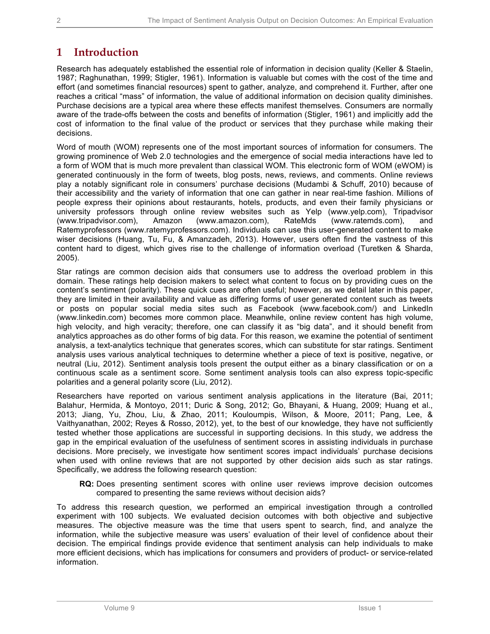## **1 Introduction**

Research has adequately established the essential role of information in decision quality (Keller & Staelin, 1987; Raghunathan, 1999; Stigler, 1961). Information is valuable but comes with the cost of the time and effort (and sometimes financial resources) spent to gather, analyze, and comprehend it. Further, after one reaches a critical "mass" of information, the value of additional information on decision quality diminishes. Purchase decisions are a typical area where these effects manifest themselves. Consumers are normally aware of the trade-offs between the costs and benefits of information (Stigler, 1961) and implicitly add the cost of information to the final value of the product or services that they purchase while making their decisions.

Word of mouth (WOM) represents one of the most important sources of information for consumers. The growing prominence of Web 2.0 technologies and the emergence of social media interactions have led to a form of WOM that is much more prevalent than classical WOM. This electronic form of WOM (eWOM) is generated continuously in the form of tweets, blog posts, news, reviews, and comments. Online reviews play a notably significant role in consumers' purchase decisions (Mudambi & Schuff, 2010) because of their accessibility and the variety of information that one can gather in near real-time fashion. Millions of people express their opinions about restaurants, hotels, products, and even their family physicians or university professors through online review websites such as Yelp (www.yelp.com), Tripadvisor (www.tripadvisor.com), Amazon (www.amazon.com), RateMds (www.ratemds.com), and Ratemyprofessors (www.ratemyprofessors.com). Individuals can use this user-generated content to make wiser decisions (Huang, Tu, Fu, & Amanzadeh, 2013). However, users often find the vastness of this content hard to digest, which gives rise to the challenge of information overload (Turetken & Sharda, 2005).

Star ratings are common decision aids that consumers use to address the overload problem in this domain. These ratings help decision makers to select what content to focus on by providing cues on the content's sentiment (polarity). These quick cues are often useful; however, as we detail later in this paper, they are limited in their availability and value as differing forms of user generated content such as tweets or posts on popular social media sites such as Facebook (www.facebook.com/) and LinkedIn (www.linkedin.com) becomes more common place. Meanwhile, online review content has high volume, high velocity, and high veracity; therefore, one can classify it as "big data", and it should benefit from analytics approaches as do other forms of big data. For this reason, we examine the potential of sentiment analysis, a text-analytics technique that generates scores, which can substitute for star ratings. Sentiment analysis uses various analytical techniques to determine whether a piece of text is positive, negative, or neutral (Liu, 2012). Sentiment analysis tools present the output either as a binary classification or on a continuous scale as a sentiment score. Some sentiment analysis tools can also express topic-specific polarities and a general polarity score (Liu, 2012).

Researchers have reported on various sentiment analysis applications in the literature (Bai, 2011; Balahur, Hermida, & Montoyo, 2011; Duric & Song, 2012; Go, Bhayani, & Huang, 2009; Huang et al., 2013; Jiang, Yu, Zhou, Liu, & Zhao, 2011; Kouloumpis, Wilson, & Moore, 2011; Pang, Lee, & Vaithyanathan, 2002; Reyes & Rosso, 2012), yet, to the best of our knowledge, they have not sufficiently tested whether those applications are successful in supporting decisions. In this study, we address the gap in the empirical evaluation of the usefulness of sentiment scores in assisting individuals in purchase decisions. More precisely, we investigate how sentiment scores impact individuals' purchase decisions when used with online reviews that are not supported by other decision aids such as star ratings. Specifically, we address the following research question:

**RQ:** Does presenting sentiment scores with online user reviews improve decision outcomes compared to presenting the same reviews without decision aids?

To address this research question, we performed an empirical investigation through a controlled experiment with 100 subjects. We evaluated decision outcomes with both objective and subjective measures. The objective measure was the time that users spent to search, find, and analyze the information, while the subjective measure was users' evaluation of their level of confidence about their decision. The empirical findings provide evidence that sentiment analysis can help individuals to make more efficient decisions, which has implications for consumers and providers of product- or service-related information.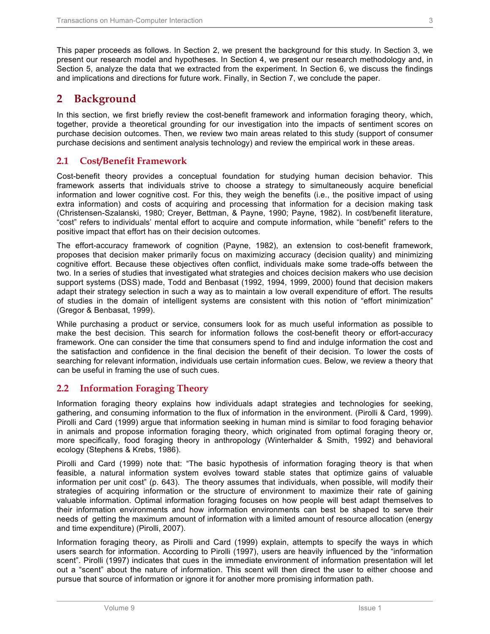This paper proceeds as follows. In Section 2, we present the background for this study. In Section 3, we present our research model and hypotheses. In Section 4, we present our research methodology and, in Section 5, analyze the data that we extracted from the experiment. In Section 6, we discuss the findings and implications and directions for future work. Finally, in Section 7, we conclude the paper.

## **2 Background**

In this section, we first briefly review the cost-benefit framework and information foraging theory, which, together, provide a theoretical grounding for our investigation into the impacts of sentiment scores on purchase decision outcomes. Then, we review two main areas related to this study (support of consumer purchase decisions and sentiment analysis technology) and review the empirical work in these areas.

### **2.1 Cost/Benefit Framework**

Cost-benefit theory provides a conceptual foundation for studying human decision behavior. This framework asserts that individuals strive to choose a strategy to simultaneously acquire beneficial information and lower cognitive cost. For this, they weigh the benefits (i.e., the positive impact of using extra information) and costs of acquiring and processing that information for a decision making task (Christensen-Szalanski, 1980; Creyer, Bettman, & Payne, 1990; Payne, 1982). In cost/benefit literature, "cost" refers to individuals' mental effort to acquire and compute information, while "benefit" refers to the positive impact that effort has on their decision outcomes.

The effort-accuracy framework of cognition (Payne, 1982), an extension to cost-benefit framework, proposes that decision maker primarily focus on maximizing accuracy (decision quality) and minimizing cognitive effort. Because these objectives often conflict, individuals make some trade-offs between the two. In a series of studies that investigated what strategies and choices decision makers who use decision support systems (DSS) made, Todd and Benbasat (1992, 1994, 1999, 2000) found that decision makers adapt their strategy selection in such a way as to maintain a low overall expenditure of effort. The results of studies in the domain of intelligent systems are consistent with this notion of "effort minimization" (Gregor & Benbasat, 1999).

While purchasing a product or service, consumers look for as much useful information as possible to make the best decision. This search for information follows the cost-benefit theory or effort-accuracy framework. One can consider the time that consumers spend to find and indulge information the cost and the satisfaction and confidence in the final decision the benefit of their decision. To lower the costs of searching for relevant information, individuals use certain information cues. Below, we review a theory that can be useful in framing the use of such cues.

### **2.2 Information Foraging Theory**

Information foraging theory explains how individuals adapt strategies and technologies for seeking, gathering, and consuming information to the flux of information in the environment. (Pirolli & Card, 1999). Pirolli and Card (1999) argue that information seeking in human mind is similar to food foraging behavior in animals and propose information foraging theory, which originated from optimal foraging theory or, more specifically, food foraging theory in anthropology (Winterhalder & Smith, 1992) and behavioral ecology (Stephens & Krebs, 1986).

Pirolli and Card (1999) note that: "The basic hypothesis of information foraging theory is that when feasible, a natural information system evolves toward stable states that optimize gains of valuable information per unit cost" (p. 643). The theory assumes that individuals, when possible, will modify their strategies of acquiring information or the structure of environment to maximize their rate of gaining valuable information. Optimal information foraging focuses on how people will best adapt themselves to their information environments and how information environments can best be shaped to serve their needs of getting the maximum amount of information with a limited amount of resource allocation (energy and time expenditure) (Pirolli, 2007).

Information foraging theory, as Pirolli and Card (1999) explain, attempts to specify the ways in which users search for information. According to Pirolli (1997), users are heavily influenced by the "information scent". Pirolli (1997) indicates that cues in the immediate environment of information presentation will let out a "scent" about the nature of information. This scent will then direct the user to either choose and pursue that source of information or ignore it for another more promising information path.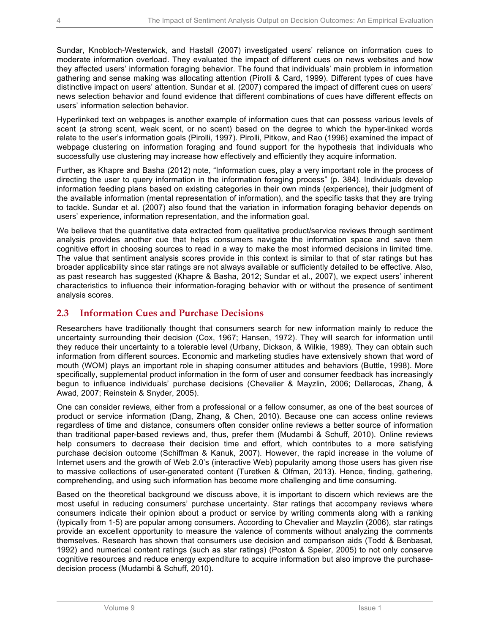Sundar, Knobloch-Westerwick, and Hastall (2007) investigated users' reliance on information cues to moderate information overload. They evaluated the impact of different cues on news websites and how they affected users' information foraging behavior. The found that individuals' main problem in information gathering and sense making was allocating attention (Pirolli & Card, 1999). Different types of cues have distinctive impact on users' attention. Sundar et al. (2007) compared the impact of different cues on users' news selection behavior and found evidence that different combinations of cues have different effects on users' information selection behavior.

Hyperlinked text on webpages is another example of information cues that can possess various levels of scent (a strong scent, weak scent, or no scent) based on the degree to which the hyper-linked words relate to the user's information goals (Pirolli, 1997). Pirolli, Pitkow, and Rao (1996) examined the impact of webpage clustering on information foraging and found support for the hypothesis that individuals who successfully use clustering may increase how effectively and efficiently they acquire information.

Further, as Khapre and Basha (2012) note, "Information cues, play a very important role in the process of directing the user to query information in the information foraging process" (p. 384). Individuals develop information feeding plans based on existing categories in their own minds (experience), their judgment of the available information (mental representation of information), and the specific tasks that they are trying to tackle. Sundar et al. (2007) also found that the variation in information foraging behavior depends on users' experience, information representation, and the information goal.

We believe that the quantitative data extracted from qualitative product/service reviews through sentiment analysis provides another cue that helps consumers navigate the information space and save them cognitive effort in choosing sources to read in a way to make the most informed decisions in limited time. The value that sentiment analysis scores provide in this context is similar to that of star ratings but has broader applicability since star ratings are not always available or sufficiently detailed to be effective. Also, as past research has suggested (Khapre & Basha, 2012; Sundar et al., 2007), we expect users' inherent characteristics to influence their information-foraging behavior with or without the presence of sentiment analysis scores.

## **2.3 Information Cues and Purchase Decisions**

Researchers have traditionally thought that consumers search for new information mainly to reduce the uncertainty surrounding their decision (Cox, 1967; Hansen, 1972). They will search for information until they reduce their uncertainty to a tolerable level (Urbany, Dickson, & Wilkie, 1989). They can obtain such information from different sources. Economic and marketing studies have extensively shown that word of mouth (WOM) plays an important role in shaping consumer attitudes and behaviors (Buttle, 1998). More specifically, supplemental product information in the form of user and consumer feedback has increasingly begun to influence individuals' purchase decisions (Chevalier & Mayzlin, 2006; Dellarocas, Zhang, & Awad, 2007; Reinstein & Snyder, 2005).

One can consider reviews, either from a professional or a fellow consumer, as one of the best sources of product or service information (Dang, Zhang, & Chen, 2010). Because one can access online reviews regardless of time and distance, consumers often consider online reviews a better source of information than traditional paper-based reviews and, thus, prefer them (Mudambi & Schuff, 2010). Online reviews help consumers to decrease their decision time and effort, which contributes to a more satisfying purchase decision outcome (Schiffman & Kanuk, 2007). However, the rapid increase in the volume of Internet users and the growth of Web 2.0's (interactive Web) popularity among those users has given rise to massive collections of user-generated content (Turetken & Olfman, 2013). Hence, finding, gathering, comprehending, and using such information has become more challenging and time consuming.

Based on the theoretical background we discuss above, it is important to discern which reviews are the most useful in reducing consumers' purchase uncertainty. Star ratings that accompany reviews where consumers indicate their opinion about a product or service by writing comments along with a ranking (typically from 1-5) are popular among consumers. According to Chevalier and Mayzlin (2006), star ratings provide an excellent opportunity to measure the valence of comments without analyzing the comments themselves. Research has shown that consumers use decision and comparison aids (Todd & Benbasat, 1992) and numerical content ratings (such as star ratings) (Poston & Speier, 2005) to not only conserve cognitive resources and reduce energy expenditure to acquire information but also improve the purchasedecision process (Mudambi & Schuff, 2010).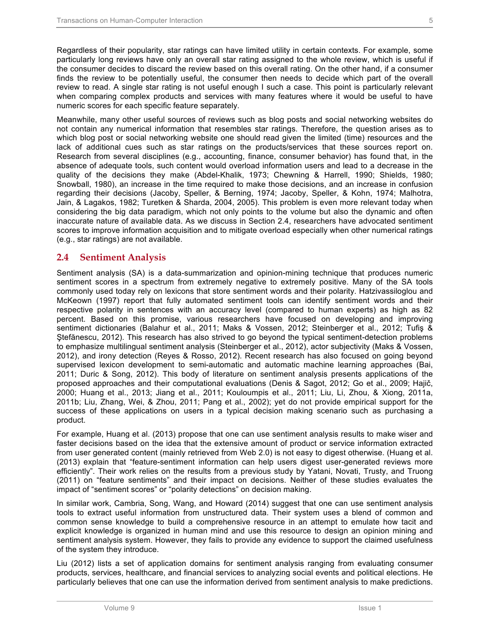Regardless of their popularity, star ratings can have limited utility in certain contexts. For example, some particularly long reviews have only an overall star rating assigned to the whole review, which is useful if the consumer decides to discard the review based on this overall rating. On the other hand, if a consumer finds the review to be potentially useful, the consumer then needs to decide which part of the overall review to read. A single star rating is not useful enough I such a case. This point is particularly relevant when comparing complex products and services with many features where it would be useful to have numeric scores for each specific feature separately.

Meanwhile, many other useful sources of reviews such as blog posts and social networking websites do not contain any numerical information that resembles star ratings. Therefore, the question arises as to which blog post or social networking website one should read given the limited (time) resources and the lack of additional cues such as star ratings on the products/services that these sources report on. Research from several disciplines (e.g., accounting, finance, consumer behavior) has found that, in the absence of adequate tools, such content would overload information users and lead to a decrease in the quality of the decisions they make (Abdel-Khalik, 1973; Chewning & Harrell, 1990; Shields, 1980; Snowball, 1980), an increase in the time required to make those decisions, and an increase in confusion regarding their decisions (Jacoby, Speller, & Berning, 1974; Jacoby, Speller, & Kohn, 1974; Malhotra, Jain, & Lagakos, 1982; Turetken & Sharda, 2004, 2005). This problem is even more relevant today when considering the big data paradigm, which not only points to the volume but also the dynamic and often inaccurate nature of available data. As we discuss in Section 2.4, researchers have advocated sentiment scores to improve information acquisition and to mitigate overload especially when other numerical ratings (e.g., star ratings) are not available.

### **2.4 Sentiment Analysis**

Sentiment analysis (SA) is a data-summarization and opinion-mining technique that produces numeric sentiment scores in a spectrum from extremely negative to extremely positive. Many of the SA tools commonly used today rely on lexicons that store sentiment words and their polarity. Hatzivassiloglou and McKeown (1997) report that fully automated sentiment tools can identify sentiment words and their respective polarity in sentences with an accuracy level (compared to human experts) as high as 82 percent. Based on this promise, various researchers have focused on developing and improving sentiment dictionaries (Balahur et al., 2011; Maks & Vossen, 2012; Steinberger et al., 2012; Tufiş & Ştefănescu, 2012). This research has also strived to go beyond the typical sentiment-detection problems to emphasize multilingual sentiment analysis (Steinberger et al., 2012), actor subjectivity (Maks & Vossen, 2012), and irony detection (Reyes & Rosso, 2012). Recent research has also focused on going beyond supervised lexicon development to semi-automatic and automatic machine learning approaches (Bai, 2011; Duric & Song, 2012). This body of literature on sentiment analysis presents applications of the proposed approaches and their computational evaluations (Denis & Sagot, 2012; Go et al., 2009; Hajič, 2000; Huang et al., 2013; Jiang et al., 2011; Kouloumpis et al., 2011; Liu, Li, Zhou, & Xiong, 2011a, 2011b; Liu, Zhang, Wei, & Zhou, 2011; Pang et al., 2002); yet do not provide empirical support for the success of these applications on users in a typical decision making scenario such as purchasing a product.

For example, Huang et al. (2013) propose that one can use sentiment analysis results to make wiser and faster decisions based on the idea that the extensive amount of product or service information extracted from user generated content (mainly retrieved from Web 2.0) is not easy to digest otherwise. (Huang et al. (2013) explain that "feature-sentiment information can help users digest user-generated reviews more efficiently". Their work relies on the results from a previous study by Yatani, Novati, Trusty, and Truong (2011) on "feature sentiments" and their impact on decisions. Neither of these studies evaluates the impact of "sentiment scores" or "polarity detections" on decision making.

In similar work, Cambria, Song, Wang, and Howard (2014) suggest that one can use sentiment analysis tools to extract useful information from unstructured data. Their system uses a blend of common and common sense knowledge to build a comprehensive resource in an attempt to emulate how tacit and explicit knowledge is organized in human mind and use this resource to design an opinion mining and sentiment analysis system. However, they fails to provide any evidence to support the claimed usefulness of the system they introduce.

Liu (2012) lists a set of application domains for sentiment analysis ranging from evaluating consumer products, services, healthcare, and financial services to analyzing social events and political elections. He particularly believes that one can use the information derived from sentiment analysis to make predictions.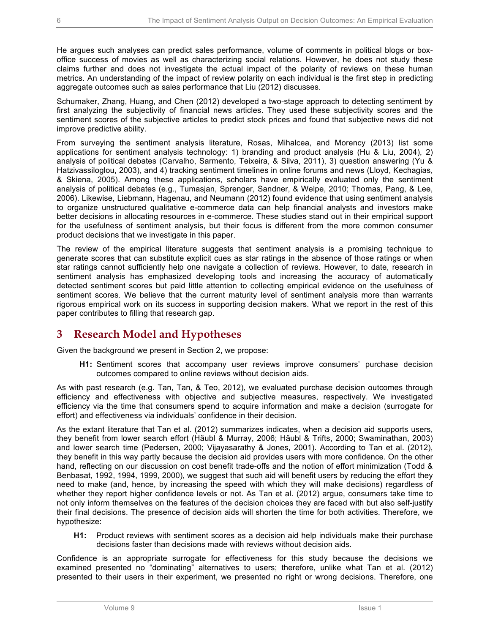He argues such analyses can predict sales performance, volume of comments in political blogs or boxoffice success of movies as well as characterizing social relations. However, he does not study these claims further and does not investigate the actual impact of the polarity of reviews on these human metrics. An understanding of the impact of review polarity on each individual is the first step in predicting aggregate outcomes such as sales performance that Liu (2012) discusses.

Schumaker, Zhang, Huang, and Chen (2012) developed a two-stage approach to detecting sentiment by first analyzing the subjectivity of financial news articles. They used these subjectivity scores and the sentiment scores of the subjective articles to predict stock prices and found that subjective news did not improve predictive ability.

From surveying the sentiment analysis literature, Rosas, Mihalcea, and Morency (2013) list some applications for sentiment analysis technology: 1) branding and product analysis (Hu & Liu, 2004), 2) analysis of political debates (Carvalho, Sarmento, Teixeira, & Silva, 2011), 3) question answering (Yu & Hatzivassiloglou, 2003), and 4) tracking sentiment timelines in online forums and news (Lloyd, Kechagias, & Skiena, 2005). Among these applications, scholars have empirically evaluated only the sentiment analysis of political debates (e.g., Tumasjan, Sprenger, Sandner, & Welpe, 2010; Thomas, Pang, & Lee, 2006). Likewise, Liebmann, Hagenau, and Neumann (2012) found evidence that using sentiment analysis to organize unstructured qualitative e-commerce data can help financial analysts and investors make better decisions in allocating resources in e-commerce. These studies stand out in their empirical support for the usefulness of sentiment analysis, but their focus is different from the more common consumer product decisions that we investigate in this paper.

The review of the empirical literature suggests that sentiment analysis is a promising technique to generate scores that can substitute explicit cues as star ratings in the absence of those ratings or when star ratings cannot sufficiently help one navigate a collection of reviews. However, to date, research in sentiment analysis has emphasized developing tools and increasing the accuracy of automatically detected sentiment scores but paid little attention to collecting empirical evidence on the usefulness of sentiment scores. We believe that the current maturity level of sentiment analysis more than warrants rigorous empirical work on its success in supporting decision makers. What we report in the rest of this paper contributes to filling that research gap.

## **3 Research Model and Hypotheses**

Given the background we present in Section 2, we propose:

**H1:** Sentiment scores that accompany user reviews improve consumers' purchase decision outcomes compared to online reviews without decision aids.

As with past research (e.g. Tan, Tan, & Teo, 2012), we evaluated purchase decision outcomes through efficiency and effectiveness with objective and subjective measures, respectively. We investigated efficiency via the time that consumers spend to acquire information and make a decision (surrogate for effort) and effectiveness via individuals' confidence in their decision.

As the extant literature that Tan et al. (2012) summarizes indicates, when a decision aid supports users, they benefit from lower search effort (Häubl & Murray, 2006; Häubl & Trifts, 2000; Swaminathan, 2003) and lower search time (Pedersen, 2000; Vijayasarathy & Jones, 2001). According to Tan et al. (2012), they benefit in this way partly because the decision aid provides users with more confidence. On the other hand, reflecting on our discussion on cost benefit trade-offs and the notion of effort minimization (Todd & Benbasat, 1992, 1994, 1999, 2000), we suggest that such aid will benefit users by reducing the effort they need to make (and, hence, by increasing the speed with which they will make decisions) regardless of whether they report higher confidence levels or not. As Tan et al. (2012) argue, consumers take time to not only inform themselves on the features of the decision choices they are faced with but also self-justify their final decisions. The presence of decision aids will shorten the time for both activities. Therefore, we hypothesize:

**H1:** Product reviews with sentiment scores as a decision aid help individuals make their purchase decisions faster than decisions made with reviews without decision aids.

Confidence is an appropriate surrogate for effectiveness for this study because the decisions we examined presented no "dominating" alternatives to users; therefore, unlike what Tan et al. (2012) presented to their users in their experiment, we presented no right or wrong decisions. Therefore, one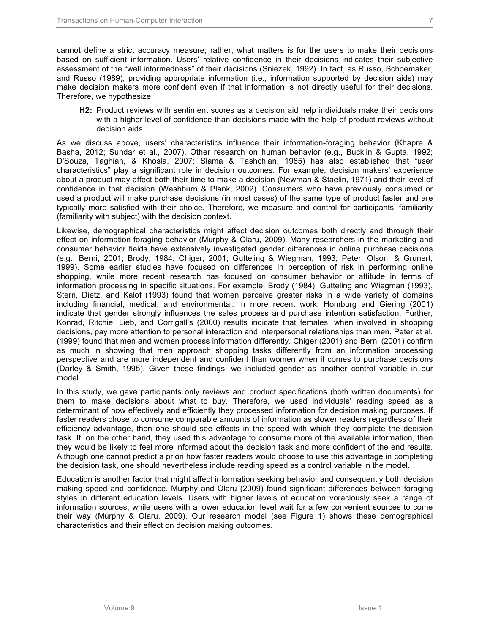cannot define a strict accuracy measure; rather, what matters is for the users to make their decisions based on sufficient information. Users' relative confidence in their decisions indicates their subjective assessment of the "well informedness" of their decisions (Sniezek, 1992). In fact, as Russo, Schoemaker, and Russo (1989), providing appropriate information (i.e., information supported by decision aids) may make decision makers more confident even if that information is not directly useful for their decisions. Therefore, we hypothesize:

**H2:** Product reviews with sentiment scores as a decision aid help individuals make their decisions with a higher level of confidence than decisions made with the help of product reviews without decision aids.

As we discuss above, users' characteristics influence their information-foraging behavior (Khapre & Basha, 2012; Sundar et al., 2007). Other research on human behavior (e.g., Bucklin & Gupta, 1992; D'Souza, Taghian, & Khosla, 2007; Slama & Tashchian, 1985) has also established that "user characteristics" play a significant role in decision outcomes. For example, decision makers' experience about a product may affect both their time to make a decision (Newman & Staelin, 1971) and their level of confidence in that decision (Washburn & Plank, 2002). Consumers who have previously consumed or used a product will make purchase decisions (in most cases) of the same type of product faster and are typically more satisfied with their choice. Therefore, we measure and control for participants' familiarity (familiarity with subject) with the decision context.

Likewise, demographical characteristics might affect decision outcomes both directly and through their effect on information-foraging behavior (Murphy & Olaru, 2009). Many researchers in the marketing and consumer behavior fields have extensively investigated gender differences in online purchase decisions (e.g., Berni, 2001; Brody, 1984; Chiger, 2001; Gutteling & Wiegman, 1993; Peter, Olson, & Grunert, 1999). Some earlier studies have focused on differences in perception of risk in performing online shopping, while more recent research has focused on consumer behavior or attitude in terms of information processing in specific situations. For example, Brody (1984), Gutteling and Wiegman (1993), Stern, Dietz, and Kalof (1993) found that women perceive greater risks in a wide variety of domains including financial, medical, and environmental. In more recent work, Homburg and Giering (2001) indicate that gender strongly influences the sales process and purchase intention satisfaction. Further, Konrad, Ritchie, Lieb, and Corrigall's (2000) results indicate that females, when involved in shopping decisions, pay more attention to personal interaction and interpersonal relationships than men. Peter et al. (1999) found that men and women process information differently. Chiger (2001) and Berni (2001) confirm as much in showing that men approach shopping tasks differently from an information processing perspective and are more independent and confident than women when it comes to purchase decisions (Darley & Smith, 1995). Given these findings, we included gender as another control variable in our model.

In this study, we gave participants only reviews and product specifications (both written documents) for them to make decisions about what to buy. Therefore, we used individuals' reading speed as a determinant of how effectively and efficiently they processed information for decision making purposes. If faster readers chose to consume comparable amounts of information as slower readers regardless of their efficiency advantage, then one should see effects in the speed with which they complete the decision task. If, on the other hand, they used this advantage to consume more of the available information, then they would be likely to feel more informed about the decision task and more confident of the end results. Although one cannot predict a priori how faster readers would choose to use this advantage in completing the decision task, one should nevertheless include reading speed as a control variable in the model.

Education is another factor that might affect information seeking behavior and consequently both decision making speed and confidence. Murphy and Olaru (2009) found significant differences between foraging styles in different education levels. Users with higher levels of education voraciously seek a range of information sources, while users with a lower education level wait for a few convenient sources to come their way (Murphy & Olaru, 2009). Our research model (see Figure 1) shows these demographical characteristics and their effect on decision making outcomes.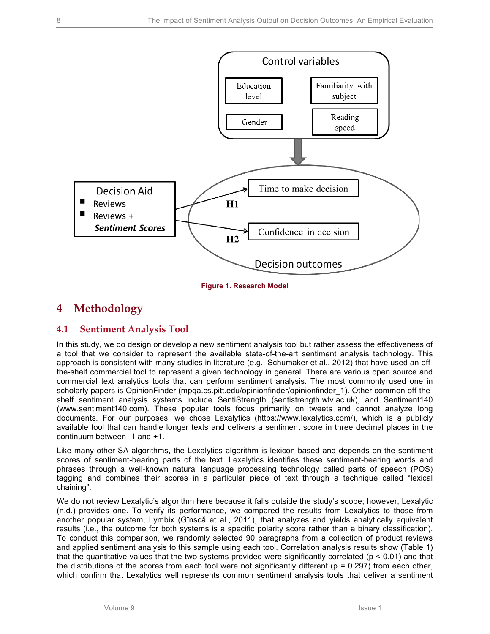

**Figure 1. Research Model**

## **4 Methodology**

## **4.1 Sentiment Analysis Tool**

In this study, we do design or develop a new sentiment analysis tool but rather assess the effectiveness of a tool that we consider to represent the available state-of-the-art sentiment analysis technology. This approach is consistent with many studies in literature (e.g., Schumaker et al., 2012) that have used an offthe-shelf commercial tool to represent a given technology in general. There are various open source and commercial text analytics tools that can perform sentiment analysis. The most commonly used one in scholarly papers is OpinionFinder (mpqa.cs.pitt.edu/opinionfinder/opinionfinder\_1). Other common off-theshelf sentiment analysis systems include SentiStrength (sentistrength.wlv.ac.uk), and Sentiment140 (www.sentiment140.com). These popular tools focus primarily on tweets and cannot analyze long documents. For our purposes, we chose Lexalytics (https://www.lexalytics.com/), which is a publicly available tool that can handle longer texts and delivers a sentiment score in three decimal places in the continuum between -1 and +1.

Like many other SA algorithms, the Lexalytics algorithm is lexicon based and depends on the sentiment scores of sentiment-bearing parts of the text. Lexalytics identifies these sentiment-bearing words and phrases through a well-known natural language processing technology called parts of speech (POS) tagging and combines their scores in a particular piece of text through a technique called "lexical chaining".

We do not review Lexalytic's algorithm here because it falls outside the study's scope; however, Lexalytic (n.d.) provides one. To verify its performance, we compared the results from Lexalytics to those from another popular system, Lymbix (Gînscă et al., 2011), that analyzes and yields analytically equivalent results (i.e., the outcome for both systems is a specific polarity score rather than a binary classification). To conduct this comparison, we randomly selected 90 paragraphs from a collection of product reviews and applied sentiment analysis to this sample using each tool. Correlation analysis results show (Table 1) that the quantitative values that the two systems provided were significantly correlated ( $p < 0.01$ ) and that the distributions of the scores from each tool were not significantly different ( $p = 0.297$ ) from each other, which confirm that Lexalytics well represents common sentiment analysis tools that deliver a sentiment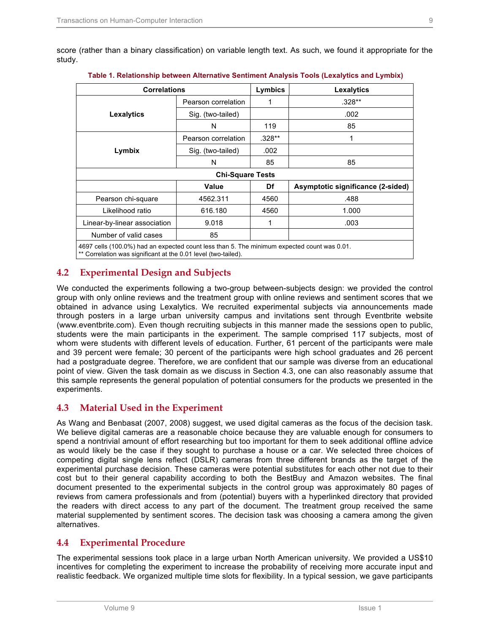score (rather than a binary classification) on variable length text. As such, we found it appropriate for the study.

| <b>Correlations</b>                                                                                              |                         | Lymbics  | <b>Lexalytics</b>                 |
|------------------------------------------------------------------------------------------------------------------|-------------------------|----------|-----------------------------------|
|                                                                                                                  | Pearson correlation     |          | $.328**$                          |
| <b>Lexalytics</b>                                                                                                | Sig. (two-tailed)       |          | .002                              |
|                                                                                                                  | N                       | 119      | 85                                |
|                                                                                                                  | Pearson correlation     | $.328**$ | 1                                 |
| Lymbix                                                                                                           | Sig. (two-tailed)       | .002     |                                   |
|                                                                                                                  | N                       | 85       | 85                                |
|                                                                                                                  | <b>Chi-Square Tests</b> |          |                                   |
|                                                                                                                  | Value                   | Df       | Asymptotic significance (2-sided) |
| Pearson chi-square                                                                                               | 4562.311                | 4560     | .488                              |
| Likelihood ratio                                                                                                 | 616.180                 | 4560     | 1.000                             |
| Linear-by-linear association                                                                                     | 9.018                   | 1        | .003                              |
| Number of valid cases                                                                                            | 85                      |          |                                   |
| $1007$ salls $(400, 00)$ ) lead an arm of the discretions than $E$ . The minimum arm of adjacent results on 0.04 |                         |          |                                   |

|  |  | Table 1. Relationship between Alternative Sentiment Analysis Tools (Lexalytics and Lymbix) |  |  |  |  |  |  |  |
|--|--|--------------------------------------------------------------------------------------------|--|--|--|--|--|--|--|
|--|--|--------------------------------------------------------------------------------------------|--|--|--|--|--|--|--|

4697 cells (100.0%) had an expected count less than 5. The minimum expected count was 0.01.

\*\* Correlation was significant at the 0.01 level (two-tailed).

## **4.2 Experimental Design and Subjects**

We conducted the experiments following a two-group between-subjects design: we provided the control group with only online reviews and the treatment group with online reviews and sentiment scores that we obtained in advance using Lexalytics. We recruited experimental subjects via announcements made through posters in a large urban university campus and invitations sent through Eventbrite website (www.eventbrite.com). Even though recruiting subjects in this manner made the sessions open to public, students were the main participants in the experiment. The sample comprised 117 subjects, most of whom were students with different levels of education. Further, 61 percent of the participants were male and 39 percent were female; 30 percent of the participants were high school graduates and 26 percent had a postgraduate degree. Therefore, we are confident that our sample was diverse from an educational point of view. Given the task domain as we discuss in Section 4.3, one can also reasonably assume that this sample represents the general population of potential consumers for the products we presented in the experiments.

## **4.3 Material Used in the Experiment**

As Wang and Benbasat (2007, 2008) suggest, we used digital cameras as the focus of the decision task. We believe digital cameras are a reasonable choice because they are valuable enough for consumers to spend a nontrivial amount of effort researching but too important for them to seek additional offline advice as would likely be the case if they sought to purchase a house or a car. We selected three choices of competing digital single lens reflect (DSLR) cameras from three different brands as the target of the experimental purchase decision. These cameras were potential substitutes for each other not due to their cost but to their general capability according to both the BestBuy and Amazon websites. The final document presented to the experimental subjects in the control group was approximately 80 pages of reviews from camera professionals and from (potential) buyers with a hyperlinked directory that provided the readers with direct access to any part of the document. The treatment group received the same material supplemented by sentiment scores. The decision task was choosing a camera among the given alternatives.

### **4.4 Experimental Procedure**

The experimental sessions took place in a large urban North American university. We provided a US\$10 incentives for completing the experiment to increase the probability of receiving more accurate input and realistic feedback. We organized multiple time slots for flexibility. In a typical session, we gave participants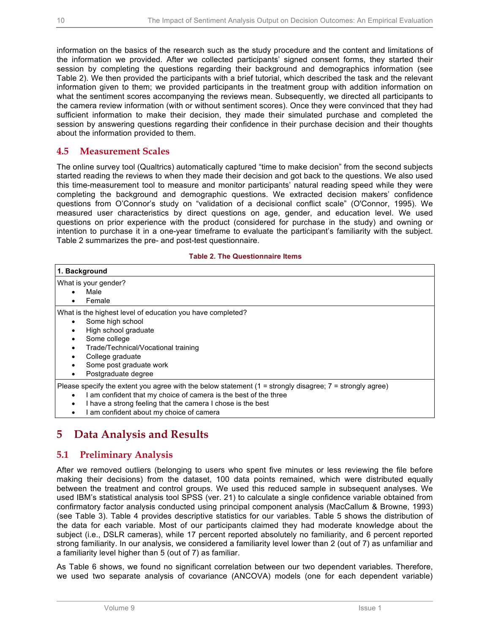information on the basics of the research such as the study procedure and the content and limitations of the information we provided. After we collected participants' signed consent forms, they started their session by completing the questions regarding their background and demographics information (see Table 2). We then provided the participants with a brief tutorial, which described the task and the relevant information given to them; we provided participants in the treatment group with addition information on what the sentiment scores accompanying the reviews mean. Subsequently, we directed all participants to the camera review information (with or without sentiment scores). Once they were convinced that they had sufficient information to make their decision, they made their simulated purchase and completed the session by answering questions regarding their confidence in their purchase decision and their thoughts about the information provided to them.

### **4.5 Measurement Scales**

The online survey tool (Qualtrics) automatically captured "time to make decision" from the second subjects started reading the reviews to when they made their decision and got back to the questions. We also used this time-measurement tool to measure and monitor participants' natural reading speed while they were completing the background and demographic questions. We extracted decision makers' confidence questions from O'Connor's study on "validation of a decisional conflict scale" (O'Connor, 1995). We measured user characteristics by direct questions on age, gender, and education level. We used questions on prior experience with the product (considered for purchase in the study) and owning or intention to purchase it in a one-year timeframe to evaluate the participant's familiarity with the subject. Table 2 summarizes the pre- and post-test questionnaire.

#### **Table 2. The Questionnaire Items**

| 1. Background                                                                                                |
|--------------------------------------------------------------------------------------------------------------|
| What is your gender?                                                                                         |
| Male                                                                                                         |
| Female                                                                                                       |
| What is the highest level of education you have completed?                                                   |
| Some high school                                                                                             |
| High school graduate                                                                                         |
| Some college                                                                                                 |
| Trade/Technical/Vocational training                                                                          |
| College graduate                                                                                             |
| Some post graduate work                                                                                      |
| Postgraduate degree                                                                                          |
| Please specify the extent you agree with the below statement $(1 =$ strongly disagree; $7 =$ strongly agree) |
| I am confident that my choice of camera is the best of the three<br>٠                                        |
| I have a strong feeling that the camera I chose is the best<br>٠                                             |
| I am confident about my choice of camera                                                                     |

## **5 Data Analysis and Results**

### **5.1 Preliminary Analysis**

After we removed outliers (belonging to users who spent five minutes or less reviewing the file before making their decisions) from the dataset, 100 data points remained, which were distributed equally between the treatment and control groups. We used this reduced sample in subsequent analyses. We used IBM's statistical analysis tool SPSS (ver. 21) to calculate a single confidence variable obtained from confirmatory factor analysis conducted using principal component analysis (MacCallum & Browne, 1993) (see Table 3). Table 4 provides descriptive statistics for our variables. Table 5 shows the distribution of the data for each variable. Most of our participants claimed they had moderate knowledge about the subject (i.e., DSLR cameras), while 17 percent reported absolutely no familiarity, and 6 percent reported strong familiarity. In our analysis, we considered a familiarity level lower than 2 (out of 7) as unfamiliar and a familiarity level higher than 5 (out of 7) as familiar.

As Table 6 shows, we found no significant correlation between our two dependent variables. Therefore, we used two separate analysis of covariance (ANCOVA) models (one for each dependent variable)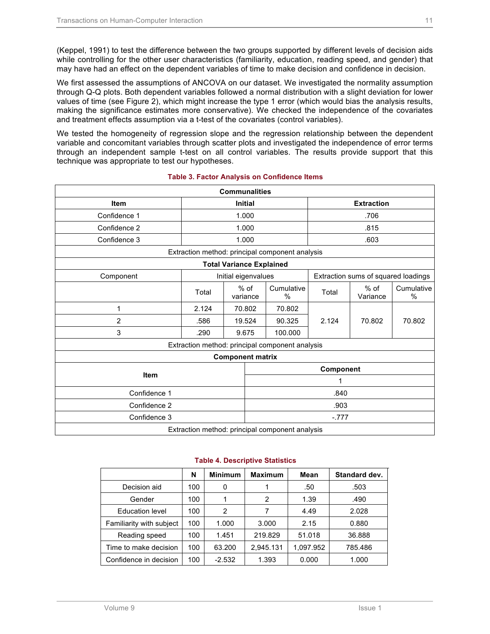(Keppel, 1991) to test the difference between the two groups supported by different levels of decision aids while controlling for the other user characteristics (familiarity, education, reading speed, and gender) that may have had an effect on the dependent variables of time to make decision and confidence in decision.

We first assessed the assumptions of ANCOVA on our dataset. We investigated the normality assumption through Q-Q plots. Both dependent variables followed a normal distribution with a slight deviation for lower values of time (see Figure 2), which might increase the type 1 error (which would bias the analysis results, making the significance estimates more conservative). We checked the independence of the covariates and treatment effects assumption via a t-test of the covariates (control variables).

We tested the homogeneity of regression slope and the regression relationship between the dependent variable and concomitant variables through scatter plots and investigated the independence of error terms through an independent sample t-test on all control variables. The results provide support that this technique was appropriate to test our hypotheses.

|              |                                                 | <b>Communalities</b>            |                                                 |           |                                     |                    |  |
|--------------|-------------------------------------------------|---------------------------------|-------------------------------------------------|-----------|-------------------------------------|--------------------|--|
| Item         | <b>Initial</b>                                  |                                 |                                                 |           | <b>Extraction</b>                   |                    |  |
| Confidence 1 |                                                 | 1.000                           |                                                 | .706      |                                     |                    |  |
| Confidence 2 |                                                 | 1.000                           |                                                 |           | .815                                |                    |  |
| Confidence 3 |                                                 | 1.000                           |                                                 |           | .603                                |                    |  |
|              |                                                 |                                 | Extraction method: principal component analysis |           |                                     |                    |  |
|              |                                                 | <b>Total Variance Explained</b> |                                                 |           |                                     |                    |  |
| Component    |                                                 | Initial eigenvalues             |                                                 |           | Extraction sums of squared loadings |                    |  |
|              | Total                                           | $%$ of<br>variance              | Cumulative<br>%                                 | Total     | $%$ of<br>Variance                  | Cumulative<br>$\%$ |  |
| 1            | 2.124                                           | 70.802                          | 70.802                                          |           |                                     |                    |  |
| 2            | .586                                            | 19.524                          | 90.325                                          | 2.124     | 70.802                              | 70.802             |  |
| 3            | .290                                            | 9.675                           | 100.000                                         |           |                                     |                    |  |
|              |                                                 |                                 | Extraction method: principal component analysis |           |                                     |                    |  |
|              |                                                 | <b>Component matrix</b>         |                                                 |           |                                     |                    |  |
|              |                                                 |                                 |                                                 | Component |                                     |                    |  |
| <b>Item</b>  |                                                 |                                 | 1                                               |           |                                     |                    |  |
| Confidence 1 |                                                 |                                 | .840                                            |           |                                     |                    |  |
| Confidence 2 |                                                 |                                 | .903                                            |           |                                     |                    |  |
| Confidence 3 |                                                 |                                 |                                                 | $-.777$   |                                     |                    |  |
|              | Extraction method: principal component analysis |                                 |                                                 |           |                                     |                    |  |

#### **Table 3. Factor Analysis on Confidence Items**

Extraction method: principal component analysis

|                          | N   | <b>Minimum</b> | <b>Maximum</b> | Mean      | Standard dev. |
|--------------------------|-----|----------------|----------------|-----------|---------------|
| Decision aid             | 100 | 0              |                | .50       | .503          |
| Gender                   | 100 | 1              | 2              | 1.39      | .490          |
| <b>Education level</b>   | 100 | 2              |                | 4.49      | 2.028         |
| Familiarity with subject | 100 | 1.000          | 3.000          | 2.15      | 0.880         |
| Reading speed            | 100 | 1.451          | 219.829        | 51.018    | 36.888        |
| Time to make decision    | 100 | 63.200         | 2,945.131      | 1.097.952 | 785.486       |
| Confidence in decision   | 100 | $-2.532$       | 1.393          | 0.000     | 1.000         |

#### **Table 4. Descriptive Statistics**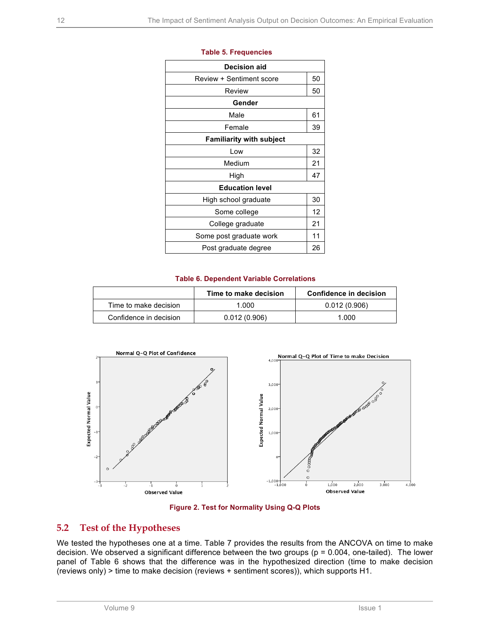| <b>Decision aid</b>             |    |
|---------------------------------|----|
| Review + Sentiment score        | 50 |
| Review                          | 50 |
| Gender                          |    |
| Male                            | 61 |
| Female                          | 39 |
| <b>Familiarity with subject</b> |    |
| Low                             | 32 |
| Medium                          | 21 |
| High                            | 47 |
| <b>Education level</b>          |    |
| High school graduate            | 30 |
| Some college                    | 12 |
| College graduate                | 21 |
| Some post graduate work         | 11 |
| Post graduate degree            | 26 |
|                                 |    |

#### **Table 5. Frequencies**

#### **Table 6. Dependent Variable Correlations**

|                        | Time to make decision | Confidence in decision |
|------------------------|-----------------------|------------------------|
| Time to make decision  | 1.000                 | 0.012(0.906)           |
| Confidence in decision | 0.012(0.906)          | 1.000                  |





### **5.2 Test of the Hypotheses**

We tested the hypotheses one at a time. Table 7 provides the results from the ANCOVA on time to make decision. We observed a significant difference between the two groups (p = 0.004, one-tailed). The lower panel of Table 6 shows that the difference was in the hypothesized direction (time to make decision (reviews only) > time to make decision (reviews + sentiment scores)), which supports H1.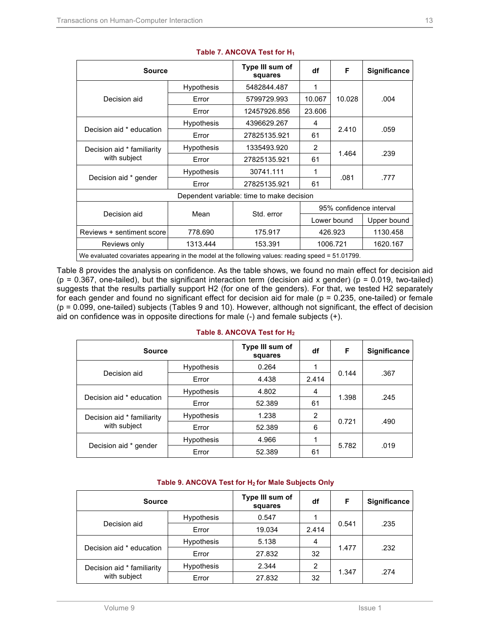| <b>Source</b>                              |                                                                                                   | Type III sum of<br>squares                | df                      | F      | <b>Significance</b> |  |  |  |
|--------------------------------------------|---------------------------------------------------------------------------------------------------|-------------------------------------------|-------------------------|--------|---------------------|--|--|--|
|                                            | <b>Hypothesis</b>                                                                                 | 5482844.487                               | 1                       |        |                     |  |  |  |
| Decision aid                               | Error                                                                                             | 5799729.993                               | 10.067                  | 10.028 | .004                |  |  |  |
|                                            | Error                                                                                             | 12457926.856                              | 23.606                  |        |                     |  |  |  |
|                                            | <b>Hypothesis</b>                                                                                 | 4396629.267                               | 4                       |        |                     |  |  |  |
| Decision aid * education                   | Error                                                                                             | 27825135.921                              | 61                      | 2.410  | .059                |  |  |  |
| Decision aid * familiarity<br>with subject | <b>Hypothesis</b>                                                                                 | 1335493.920                               | $\mathcal{P}$           |        |                     |  |  |  |
|                                            | Error                                                                                             | 27825135.921                              | 61                      | 1.464  | .239                |  |  |  |
|                                            | <b>Hypothesis</b>                                                                                 | 30741.111                                 | 1                       |        |                     |  |  |  |
| Decision aid * gender                      | Error                                                                                             | 27825135.921                              | 61                      | .081   | .777                |  |  |  |
|                                            |                                                                                                   | Dependent variable: time to make decision |                         |        |                     |  |  |  |
|                                            |                                                                                                   |                                           | 95% confidence interval |        |                     |  |  |  |
| Decision aid                               | Mean                                                                                              | Std. error                                | Lower bound             |        | Upper bound         |  |  |  |
| Reviews + sentiment score                  | 778.690                                                                                           | 175.917                                   | 426.923                 |        | 1130.458            |  |  |  |
| Reviews only                               | 1313.444                                                                                          | 153.391                                   | 1006.721                |        | 1620.167            |  |  |  |
|                                            | We evaluated covariates appearing in the model at the following values: reading speed = 51.01799. |                                           |                         |        |                     |  |  |  |

### **Table 7. ANCOVA Test for H1**

Table 8 provides the analysis on confidence. As the table shows, we found no main effect for decision aid ( $p = 0.367$ , one-tailed), but the significant interaction term (decision aid x gender) ( $p = 0.019$ , two-tailed) suggests that the results partially support H2 (for one of the genders). For that, we tested H2 separately for each gender and found no significant effect for decision aid for male (p = 0.235, one-tailed) or female (p = 0.099, one-tailed) subjects (Tables 9 and 10). However, although not significant, the effect of decision aid on confidence was in opposite directions for male (-) and female subjects (+).

| Table 8. ANCOVA Test for H <sub>2</sub> |  |  |  |  |
|-----------------------------------------|--|--|--|--|
|                                         |  |  |  |  |

| <b>Source</b>              |                   | Type III sum of<br>squares | df    | F     | <b>Significance</b> |
|----------------------------|-------------------|----------------------------|-------|-------|---------------------|
|                            | <b>Hypothesis</b> | 0.264                      | 1     |       |                     |
| Decision aid               | Error             | 4.438                      | 2.414 | 0.144 | .367                |
| Decision aid * education   | <b>Hypothesis</b> | 4.802                      | 4     |       | .245                |
|                            | Error             | 52.389                     | 61    | 1.398 |                     |
| Decision aid * familiarity | <b>Hypothesis</b> | 1.238                      | 2     |       |                     |
| with subject               | Error             | 52.389                     | 6     | 0.721 | .490                |
| Decision aid * gender      | <b>Hypothesis</b> | 4.966                      | 1     |       | .019                |
|                            | Error             | 52.389                     | 61    | 5.782 |                     |

#### **Table 9. ANCOVA Test for H2 for Male Subjects Only**

| <b>Source</b>                              |                   | Type III sum of<br>squares | df    | F     | <b>Significance</b> |  |
|--------------------------------------------|-------------------|----------------------------|-------|-------|---------------------|--|
|                                            | <b>Hypothesis</b> | 0.547                      |       |       |                     |  |
| Decision aid                               | Error             | 19.034                     | 2.414 | 0.541 | .235                |  |
| Decision aid * education                   | <b>Hypothesis</b> | 5.138                      | 4     |       | .232                |  |
|                                            | Error             | 27.832                     | 32    | 1.477 |                     |  |
| Decision aid * familiarity<br>with subject | <b>Hypothesis</b> | 2.344                      | 2     |       | .274                |  |
|                                            | Error             | 27.832                     | 32    | 1.347 |                     |  |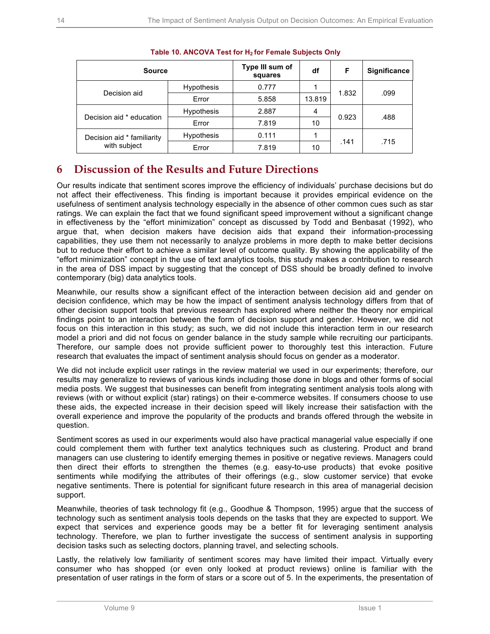| <b>Source</b>                              |                   | Type III sum of<br>squares | df     | F     | <b>Significance</b> |  |
|--------------------------------------------|-------------------|----------------------------|--------|-------|---------------------|--|
| Decision aid                               | <b>Hypothesis</b> | 0.777                      |        |       |                     |  |
|                                            | Error             | 5.858                      | 13.819 | 1.832 | .099                |  |
| Decision aid * education                   | <b>Hypothesis</b> | 2.887                      | 4      |       |                     |  |
|                                            | Error             | 7.819                      | 10     | 0.923 | .488                |  |
| Decision aid * familiarity<br>with subject | <b>Hypothesis</b> | 0.111                      |        |       |                     |  |
|                                            | Error             | 7.819                      | 10     | .141  | .715                |  |

### **Table 10. ANCOVA Test for H2 for Female Subjects Only**

## **6 Discussion of the Results and Future Directions**

Our results indicate that sentiment scores improve the efficiency of individuals' purchase decisions but do not affect their effectiveness. This finding is important because it provides empirical evidence on the usefulness of sentiment analysis technology especially in the absence of other common cues such as star ratings. We can explain the fact that we found significant speed improvement without a significant change in effectiveness by the "effort minimization" concept as discussed by Todd and Benbasat (1992), who argue that, when decision makers have decision aids that expand their information-processing capabilities, they use them not necessarily to analyze problems in more depth to make better decisions but to reduce their effort to achieve a similar level of outcome quality. By showing the applicability of the "effort minimization" concept in the use of text analytics tools, this study makes a contribution to research in the area of DSS impact by suggesting that the concept of DSS should be broadly defined to involve contemporary (big) data analytics tools.

Meanwhile, our results show a significant effect of the interaction between decision aid and gender on decision confidence, which may be how the impact of sentiment analysis technology differs from that of other decision support tools that previous research has explored where neither the theory nor empirical findings point to an interaction between the form of decision support and gender. However, we did not focus on this interaction in this study; as such, we did not include this interaction term in our research model a priori and did not focus on gender balance in the study sample while recruiting our participants. Therefore, our sample does not provide sufficient power to thoroughly test this interaction. Future research that evaluates the impact of sentiment analysis should focus on gender as a moderator.

We did not include explicit user ratings in the review material we used in our experiments; therefore, our results may generalize to reviews of various kinds including those done in blogs and other forms of social media posts. We suggest that businesses can benefit from integrating sentiment analysis tools along with reviews (with or without explicit (star) ratings) on their e-commerce websites. If consumers choose to use these aids, the expected increase in their decision speed will likely increase their satisfaction with the overall experience and improve the popularity of the products and brands offered through the website in question.

Sentiment scores as used in our experiments would also have practical managerial value especially if one could complement them with further text analytics techniques such as clustering. Product and brand managers can use clustering to identify emerging themes in positive or negative reviews. Managers could then direct their efforts to strengthen the themes (e.g. easy-to-use products) that evoke positive sentiments while modifying the attributes of their offerings (e.g., slow customer service) that evoke negative sentiments. There is potential for significant future research in this area of managerial decision support.

Meanwhile, theories of task technology fit (e.g., Goodhue & Thompson, 1995) argue that the success of technology such as sentiment analysis tools depends on the tasks that they are expected to support. We expect that services and experience goods may be a better fit for leveraging sentiment analysis technology. Therefore, we plan to further investigate the success of sentiment analysis in supporting decision tasks such as selecting doctors, planning travel, and selecting schools.

Lastly, the relatively low familiarity of sentiment scores may have limited their impact. Virtually every consumer who has shopped (or even only looked at product reviews) online is familiar with the presentation of user ratings in the form of stars or a score out of 5. In the experiments, the presentation of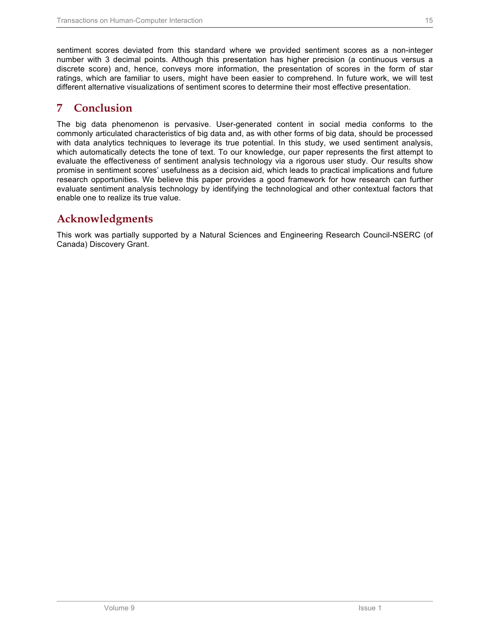sentiment scores deviated from this standard where we provided sentiment scores as a non-integer number with 3 decimal points. Although this presentation has higher precision (a continuous versus a discrete score) and, hence, conveys more information, the presentation of scores in the form of star ratings, which are familiar to users, might have been easier to comprehend. In future work, we will test different alternative visualizations of sentiment scores to determine their most effective presentation.

## **7 Conclusion**

The big data phenomenon is pervasive. User-generated content in social media conforms to the commonly articulated characteristics of big data and, as with other forms of big data, should be processed with data analytics techniques to leverage its true potential. In this study, we used sentiment analysis, which automatically detects the tone of text. To our knowledge, our paper represents the first attempt to evaluate the effectiveness of sentiment analysis technology via a rigorous user study. Our results show promise in sentiment scores' usefulness as a decision aid, which leads to practical implications and future research opportunities. We believe this paper provides a good framework for how research can further evaluate sentiment analysis technology by identifying the technological and other contextual factors that enable one to realize its true value.

## **Acknowledgments**

This work was partially supported by a Natural Sciences and Engineering Research Council-NSERC (of Canada) Discovery Grant.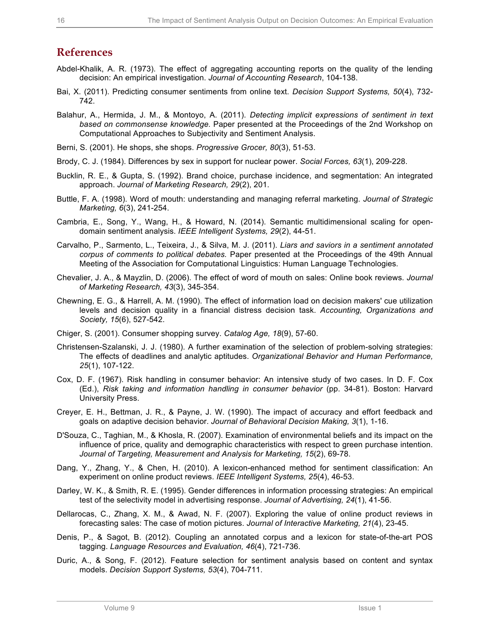## **References**

- Abdel-Khalik, A. R. (1973). The effect of aggregating accounting reports on the quality of the lending decision: An empirical investigation. *Journal of Accounting Research*, 104-138.
- Bai, X. (2011). Predicting consumer sentiments from online text. *Decision Support Systems, 50*(4), 732- 742.
- Balahur, A., Hermida, J. M., & Montoyo, A. (2011). *Detecting implicit expressions of sentiment in text based on commonsense knowledge.* Paper presented at the Proceedings of the 2nd Workshop on Computational Approaches to Subjectivity and Sentiment Analysis.
- Berni, S. (2001). He shops, she shops. *Progressive Grocer, 80*(3), 51-53.
- Brody, C. J. (1984). Differences by sex in support for nuclear power. *Social Forces, 63*(1), 209-228.
- Bucklin, R. E., & Gupta, S. (1992). Brand choice, purchase incidence, and segmentation: An integrated approach. *Journal of Marketing Research, 29*(2), 201.
- Buttle, F. A. (1998). Word of mouth: understanding and managing referral marketing. *Journal of Strategic Marketing, 6*(3), 241-254.
- Cambria, E., Song, Y., Wang, H., & Howard, N. (2014). Semantic multidimensional scaling for opendomain sentiment analysis. *IEEE Intelligent Systems, 29*(2), 44-51.
- Carvalho, P., Sarmento, L., Teixeira, J., & Silva, M. J. (2011). *Liars and saviors in a sentiment annotated corpus of comments to political debates.* Paper presented at the Proceedings of the 49th Annual Meeting of the Association for Computational Linguistics: Human Language Technologies.
- Chevalier, J. A., & Mayzlin, D. (2006). The effect of word of mouth on sales: Online book reviews. *Journal of Marketing Research, 43*(3), 345-354.
- Chewning, E. G., & Harrell, A. M. (1990). The effect of information load on decision makers' cue utilization levels and decision quality in a financial distress decision task. *Accounting, Organizations and Society, 15*(6), 527-542.
- Chiger, S. (2001). Consumer shopping survey. *Catalog Age, 18*(9), 57-60.
- Christensen-Szalanski, J. J. (1980). A further examination of the selection of problem-solving strategies: The effects of deadlines and analytic aptitudes. *Organizational Behavior and Human Performance, 25*(1), 107-122.
- Cox, D. F. (1967). Risk handling in consumer behavior: An intensive study of two cases. In D. F. Cox (Ed.), *Risk taking and information handling in consumer behavior* (pp. 34-81). Boston: Harvard University Press.
- Creyer, E. H., Bettman, J. R., & Payne, J. W. (1990). The impact of accuracy and effort feedback and goals on adaptive decision behavior. *Journal of Behavioral Decision Making, 3*(1), 1-16.
- D'Souza, C., Taghian, M., & Khosla, R. (2007). Examination of environmental beliefs and its impact on the influence of price, quality and demographic characteristics with respect to green purchase intention. *Journal of Targeting, Measurement and Analysis for Marketing, 15*(2), 69-78.
- Dang, Y., Zhang, Y., & Chen, H. (2010). A lexicon-enhanced method for sentiment classification: An experiment on online product reviews. *IEEE Intelligent Systems, 25*(4), 46-53.
- Darley, W. K., & Smith, R. E. (1995). Gender differences in information processing strategies: An empirical test of the selectivity model in advertising response. *Journal of Advertising, 24*(1), 41-56.
- Dellarocas, C., Zhang, X. M., & Awad, N. F. (2007). Exploring the value of online product reviews in forecasting sales: The case of motion pictures. *Journal of Interactive Marketing, 21*(4), 23-45.
- Denis, P., & Sagot, B. (2012). Coupling an annotated corpus and a lexicon for state-of-the-art POS tagging. *Language Resources and Evaluation, 46*(4), 721-736.
- Duric, A., & Song, F. (2012). Feature selection for sentiment analysis based on content and syntax models. *Decision Support Systems, 53*(4), 704-711.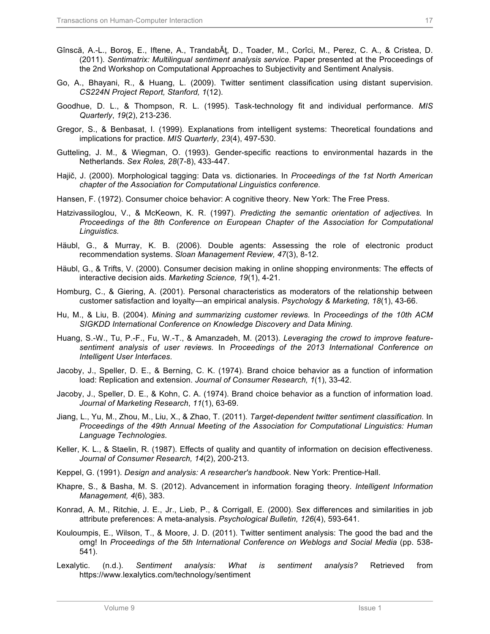- Gînscă, A.-L., Boroş, E., Iftene, A., TrandabĂţ, D., Toader, M., Corîci, M., Perez, C. A., & Cristea, D. (2011). *Sentimatrix: Multilingual sentiment analysis service.* Paper presented at the Proceedings of the 2nd Workshop on Computational Approaches to Subjectivity and Sentiment Analysis.
- Go, A., Bhayani, R., & Huang, L. (2009). Twitter sentiment classification using distant supervision. *CS224N Project Report, Stanford, 1*(12).
- Goodhue, D. L., & Thompson, R. L. (1995). Task-technology fit and individual performance. *MIS Quarterly*, *19*(2), 213-236.
- Gregor, S., & Benbasat, I. (1999). Explanations from intelligent systems: Theoretical foundations and implications for practice. *MIS Quarterly*, *23*(4), 497-530.
- Gutteling, J. M., & Wiegman, O. (1993). Gender-specific reactions to environmental hazards in the Netherlands. *Sex Roles, 28*(7-8), 433-447.
- Hajič, J. (2000). Morphological tagging: Data vs. dictionaries*.* In *Proceedings of the 1st North American chapter of the Association for Computational Linguistics conference.*
- Hansen, F. (1972). Consumer choice behavior: A cognitive theory. New York: The Free Press.
- Hatzivassiloglou, V., & McKeown, K. R. (1997). *Predicting the semantic orientation of adjectives.* In *Proceedings of the 8th Conference on European Chapter of the Association for Computational Linguistics.*
- Häubl, G., & Murray, K. B. (2006). Double agents: Assessing the role of electronic product recommendation systems. *Sloan Management Review, 47*(3), 8-12.
- Häubl, G., & Trifts, V. (2000). Consumer decision making in online shopping environments: The effects of interactive decision aids. *Marketing Science, 19*(1), 4-21.
- Homburg, C., & Giering, A. (2001). Personal characteristics as moderators of the relationship between customer satisfaction and loyalty—an empirical analysis. *Psychology & Marketing, 18*(1), 43-66.
- Hu, M., & Liu, B. (2004). *Mining and summarizing customer reviews.* In *Proceedings of the 10th ACM SIGKDD International Conference on Knowledge Discovery and Data Mining.*
- Huang, S.-W., Tu, P.-F., Fu, W.-T., & Amanzadeh, M. (2013). *Leveraging the crowd to improve featuresentiment analysis of user reviews.* In *Proceedings of the 2013 International Conference on Intelligent User Interfaces.*
- Jacoby, J., Speller, D. E., & Berning, C. K. (1974). Brand choice behavior as a function of information load: Replication and extension. *Journal of Consumer Research, 1*(1), 33-42.
- Jacoby, J., Speller, D. E., & Kohn, C. A. (1974). Brand choice behavior as a function of information load. *Journal of Marketing Research*, *11*(1), 63-69.
- Jiang, L., Yu, M., Zhou, M., Liu, X., & Zhao, T. (2011). *Target-dependent twitter sentiment classification.* In *Proceedings of the 49th Annual Meeting of the Association for Computational Linguistics: Human Language Technologies*.
- Keller, K. L., & Staelin, R. (1987). Effects of quality and quantity of information on decision effectiveness. *Journal of Consumer Research, 14*(2), 200-213.
- Keppel, G. (1991). *Design and analysis: A researcher's handbook*. New York: Prentice-Hall.
- Khapre, S., & Basha, M. S. (2012). Advancement in information foraging theory. *Intelligent Information Management, 4*(6), 383.
- Konrad, A. M., Ritchie, J. E., Jr., Lieb, P., & Corrigall, E. (2000). Sex differences and similarities in job attribute preferences: A meta-analysis. *Psychological Bulletin, 126*(4), 593-641.
- Kouloumpis, E., Wilson, T., & Moore, J. D. (2011). Twitter sentiment analysis: The good the bad and the omg! In *Proceedings of the 5th International Conference on Weblogs and Social Media* (pp. 538- 541).
- Lexalytic. (n.d.). *Sentiment analysis: What is sentiment analysis?* Retrieved from https://www.lexalytics.com/technology/sentiment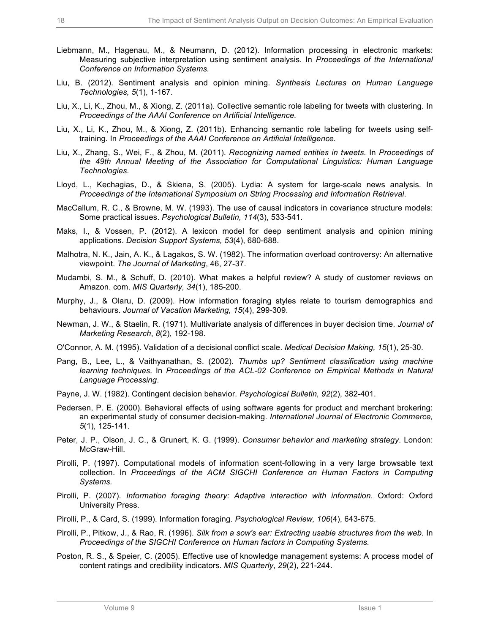- Liebmann, M., Hagenau, M., & Neumann, D. (2012). Information processing in electronic markets: Measuring subjective interpretation using sentiment analysis. In *Proceedings of the International Conference on Information Systems.*
- Liu, B. (2012). Sentiment analysis and opinion mining. *Synthesis Lectures on Human Language Technologies, 5*(1), 1-167.
- Liu, X., Li, K., Zhou, M., & Xiong, Z. (2011a). Collective semantic role labeling for tweets with clustering*.* In *Proceedings of the AAAI Conference on Artificial Intelligence.*
- Liu, X., Li, K., Zhou, M., & Xiong, Z. (2011b). Enhancing semantic role labeling for tweets using selftraining*.* In *Proceedings of the AAAI Conference on Artificial Intelligence.*
- Liu, X., Zhang, S., Wei, F., & Zhou, M. (2011). *Recognizing named entities in tweets.* In *Proceedings of the 49th Annual Meeting of the Association for Computational Linguistics: Human Language Technologies.*
- Lloyd, L., Kechagias, D., & Skiena, S. (2005). Lydia: A system for large-scale news analysis*.* In *Proceedings of the International Symposium on String Processing and Information Retrieval*.
- MacCallum, R. C., & Browne, M. W. (1993). The use of causal indicators in covariance structure models: Some practical issues. *Psychological Bulletin, 114*(3), 533-541.
- Maks, I., & Vossen, P. (2012). A lexicon model for deep sentiment analysis and opinion mining applications. *Decision Support Systems, 53*(4), 680-688.
- Malhotra, N. K., Jain, A. K., & Lagakos, S. W. (1982). The information overload controversy: An alternative viewpoint. *The Journal of Marketing*, 46, 27-37.
- Mudambi, S. M., & Schuff, D. (2010). What makes a helpful review? A study of customer reviews on Amazon. com. *MIS Quarterly, 34*(1), 185-200.
- Murphy, J., & Olaru, D. (2009). How information foraging styles relate to tourism demographics and behaviours. *Journal of Vacation Marketing, 15*(4), 299-309.
- Newman, J. W., & Staelin, R. (1971). Multivariate analysis of differences in buyer decision time. *Journal of Marketing Research*, *8*(2), 192-198.
- O'Connor, A. M. (1995). Validation of a decisional conflict scale. *Medical Decision Making, 15*(1), 25-30.
- Pang, B., Lee, L., & Vaithyanathan, S. (2002). *Thumbs up? Sentiment classification using machine learning techniques.* In *Proceedings of the ACL-02 Conference on Empirical Methods in Natural Language Processing*.
- Payne, J. W. (1982). Contingent decision behavior. *Psychological Bulletin, 92*(2), 382-401.
- Pedersen, P. E. (2000). Behavioral effects of using software agents for product and merchant brokering: an experimental study of consumer decision-making. *International Journal of Electronic Commerce, 5*(1), 125-141.
- Peter, J. P., Olson, J. C., & Grunert, K. G. (1999). *Consumer behavior and marketing strategy*. London: McGraw-Hill.
- Pirolli, P. (1997). Computational models of information scent-following in a very large browsable text collection. In *Proceedings of the ACM SIGCHI Conference on Human Factors in Computing Systems.*
- Pirolli, P. (2007). *Information foraging theory: Adaptive interaction with information*. Oxford: Oxford University Press.
- Pirolli, P., & Card, S. (1999). Information foraging. *Psychological Review, 106*(4), 643-675.
- Pirolli, P., Pitkow, J., & Rao, R. (1996). *Silk from a sow's ear: Extracting usable structures from the web.* In *Proceedings of the SIGCHI Conference on Human factors in Computing Systems.*
- Poston, R. S., & Speier, C. (2005). Effective use of knowledge management systems: A process model of content ratings and credibility indicators. *MIS Quarterly*, *29*(2), 221-244.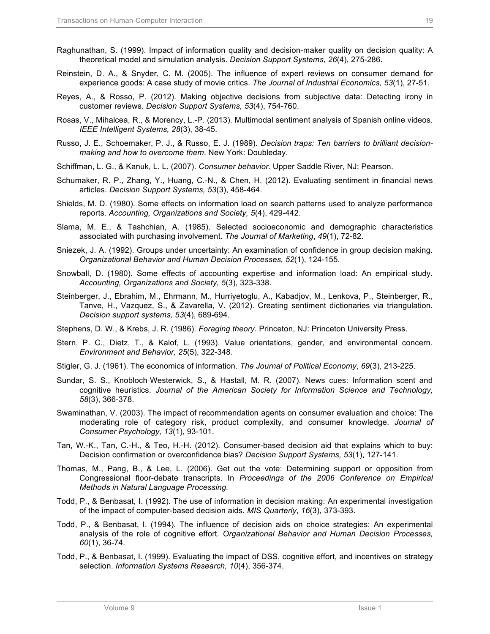- Raghunathan, S. (1999). Impact of information quality and decision-maker quality on decision quality: A theoretical model and simulation analysis. *Decision Support Systems, 26*(4), 275-286.
- Reinstein, D. A., & Snyder, C. M. (2005). The influence of expert reviews on consumer demand for experience goods: A case study of movie critics. *The Journal of Industrial Economics, 53*(1), 27-51.
- Reyes, A., & Rosso, P. (2012). Making objective decisions from subjective data: Detecting irony in customer reviews. *Decision Support Systems, 53*(4), 754-760.
- Rosas, V., Mihalcea, R., & Morency, L.-P. (2013). Multimodal sentiment analysis of Spanish online videos. *IEEE Intelligent Systems, 28*(3), 38-45.
- Russo, J. E., Schoemaker, P. J., & Russo, E. J. (1989). *Decision traps: Ten barriers to brilliant decisionmaking and how to overcome them*. New York: Doubleday.
- Schiffman, L. G., & Kanuk, L. L. (2007). *Consumer behavior.* Upper Saddle River, NJ: Pearson.
- Schumaker, R. P., Zhang, Y., Huang, C.-N., & Chen, H. (2012). Evaluating sentiment in financial news articles. *Decision Support Systems, 53*(3), 458-464.
- Shields, M. D. (1980). Some effects on information load on search patterns used to analyze performance reports. *Accounting, Organizations and Society, 5*(4), 429-442.
- Slama, M. E., & Tashchian, A. (1985). Selected socioeconomic and demographic characteristics associated with purchasing involvement. *The Journal of Marketing*, *49*(1), 72-82.
- Sniezek, J. A. (1992). Groups under uncertainty: An examination of confidence in group decision making. *Organizational Behavior and Human Decision Processes, 52*(1), 124-155.
- Snowball, D. (1980). Some effects of accounting expertise and information load: An empirical study. *Accounting, Organizations and Society, 5*(3), 323-338.
- Steinberger, J., Ebrahim, M., Ehrmann, M., Hurriyetoglu, A., Kabadjov, M., Lenkova, P., Steinberger, R., Tanve, H., Vazquez, S., & Zavarella, V. (2012). Creating sentiment dictionaries via triangulation. *Decision support systems, 53*(4), 689-694.
- Stephens, D. W., & Krebs, J. R. (1986). *Foraging theory*. Princeton, NJ: Princeton University Press.
- Stern, P. C., Dietz, T., & Kalof, L. (1993). Value orientations, gender, and environmental concern. *Environment and Behavior, 25*(5), 322-348.
- Stigler, G. J. (1961). The economics of information. *The Journal of Political Economy*, *69*(3), 213-225.
- Sundar, S. S., Knobloch-Westerwick, S., & Hastall, M. R. (2007). News cues: Information scent and cognitive heuristics. *Journal of the American Society for Information Science and Technology, 58*(3), 366-378.
- Swaminathan, V. (2003). The impact of recommendation agents on consumer evaluation and choice: The moderating role of category risk, product complexity, and consumer knowledge. *Journal of Consumer Psychology, 13*(1), 93-101.
- Tan, W.-K., Tan, C.-H., & Teo, H.-H. (2012). Consumer-based decision aid that explains which to buy: Decision confirmation or overconfidence bias? *Decision Support Systems, 53*(1), 127-141.
- Thomas, M., Pang, B., & Lee, L. (2006). Get out the vote: Determining support or opposition from Congressional floor-debate transcripts. In *Proceedings of the 2006 Conference on Empirical Methods in Natural Language Processing.*
- Todd, P., & Benbasat, I. (1992). The use of information in decision making: An experimental investigation of the impact of computer-based decision aids. *MIS Quarterly*, *16*(3), 373-393.
- Todd, P., & Benbasat, I. (1994). The influence of decision aids on choice strategies: An experimental analysis of the role of cognitive effort. *Organizational Behavior and Human Decision Processes, 60*(1), 36-74.
- Todd, P., & Benbasat, I. (1999). Evaluating the impact of DSS, cognitive effort, and incentives on strategy selection. *Information Systems Research, 10*(4), 356-374.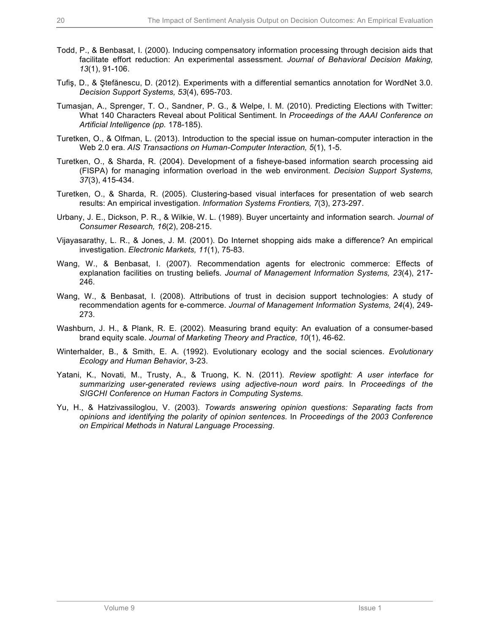- Todd, P., & Benbasat, I. (2000). Inducing compensatory information processing through decision aids that facilitate effort reduction: An experimental assessment. *Journal of Behavioral Decision Making, 13*(1), 91-106.
- Tufiş, D., & Ştefănescu, D. (2012). Experiments with a differential semantics annotation for WordNet 3.0. *Decision Support Systems, 53*(4), 695-703.
- Tumasjan, A., Sprenger, T. O., Sandner, P. G., & Welpe, I. M. (2010). Predicting Elections with Twitter: What 140 Characters Reveal about Political Sentiment. In *Proceedings of the AAAI Conference on Artificial Intelligence (pp.* 178-185).
- Turetken, O., & Olfman, L. (2013). Introduction to the special issue on human-computer interaction in the Web 2.0 era. *AIS Transactions on Human-Computer Interaction, 5*(1), 1-5.
- Turetken, O., & Sharda, R. (2004). Development of a fisheye-based information search processing aid (FISPA) for managing information overload in the web environment. *Decision Support Systems, 37*(3), 415-434.
- Turetken, O., & Sharda, R. (2005). Clustering-based visual interfaces for presentation of web search results: An empirical investigation. *Information Systems Frontiers, 7*(3), 273-297.
- Urbany, J. E., Dickson, P. R., & Wilkie, W. L. (1989). Buyer uncertainty and information search. *Journal of Consumer Research, 16*(2), 208-215.
- Vijayasarathy, L. R., & Jones, J. M. (2001). Do Internet shopping aids make a difference? An empirical investigation. *Electronic Markets, 11*(1), 75-83.
- Wang, W., & Benbasat, I. (2007). Recommendation agents for electronic commerce: Effects of explanation facilities on trusting beliefs. *Journal of Management Information Systems, 23*(4), 217- 246.
- Wang, W., & Benbasat, I. (2008). Attributions of trust in decision support technologies: A study of recommendation agents for e-commerce. *Journal of Management Information Systems, 24*(4), 249- 273.
- Washburn, J. H., & Plank, R. E. (2002). Measuring brand equity: An evaluation of a consumer-based brand equity scale. *Journal of Marketing Theory and Practice, 10*(1), 46-62.
- Winterhalder, B., & Smith, E. A. (1992). Evolutionary ecology and the social sciences. *Evolutionary Ecology and Human Behavior*, 3-23.
- Yatani, K., Novati, M., Trusty, A., & Truong, K. N. (2011). *Review spotlight: A user interface for summarizing user-generated reviews using adjective-noun word pairs.* In *Proceedings of the SIGCHI Conference on Human Factors in Computing Systems*.
- Yu, H., & Hatzivassiloglou, V. (2003). *Towards answering opinion questions: Separating facts from opinions and identifying the polarity of opinion sentences.* In *Proceedings of the 2003 Conference on Empirical Methods in Natural Language Processing*.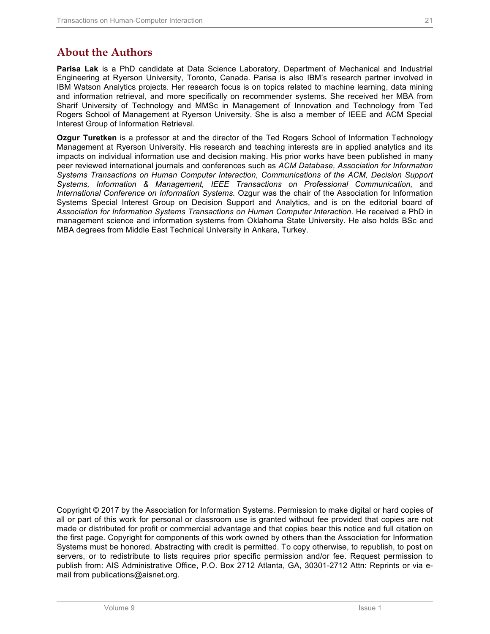**Parisa Lak** is a PhD candidate at Data Science Laboratory, Department of Mechanical and Industrial Engineering at Ryerson University, Toronto, Canada. Parisa is also IBM's research partner involved in IBM Watson Analytics projects. Her research focus is on topics related to machine learning, data mining and information retrieval, and more specifically on recommender systems. She received her MBA from Sharif University of Technology and MMSc in Management of Innovation and Technology from Ted Rogers School of Management at Ryerson University. She is also a member of IEEE and ACM Special Interest Group of Information Retrieval.

**Ozgur Turetken** is a professor at and the director of the Ted Rogers School of Information Technology Management at Ryerson University. His research and teaching interests are in applied analytics and its impacts on individual information use and decision making. His prior works have been published in many peer reviewed international journals and conferences such as *ACM Database, Association for Information Systems Transactions on Human Computer Interaction, Communications of the ACM, Decision Support Systems, Information & Management, IEEE Transactions on Professional Communication,* and *International Conference on Information Systems.* Ozgur was the chair of the Association for Information Systems Special Interest Group on Decision Support and Analytics, and is on the editorial board of *Association for Information Systems Transactions on Human Computer Interaction*. He received a PhD in management science and information systems from Oklahoma State University. He also holds BSc and MBA degrees from Middle East Technical University in Ankara, Turkey.

Copyright © 2017 by the Association for Information Systems. Permission to make digital or hard copies of all or part of this work for personal or classroom use is granted without fee provided that copies are not made or distributed for profit or commercial advantage and that copies bear this notice and full citation on the first page. Copyright for components of this work owned by others than the Association for Information Systems must be honored. Abstracting with credit is permitted. To copy otherwise, to republish, to post on servers, or to redistribute to lists requires prior specific permission and/or fee. Request permission to publish from: AIS Administrative Office, P.O. Box 2712 Atlanta, GA, 30301-2712 Attn: Reprints or via email from publications@aisnet.org.